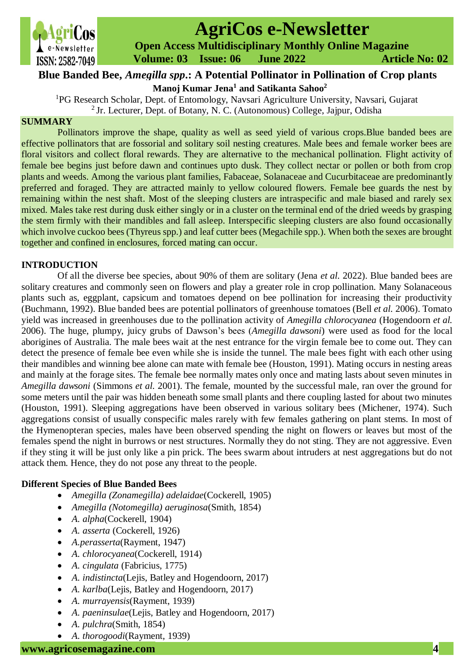

# **AgriCos e-Newsletter**

 **Open Access Multidisciplinary Monthly Online Magazine**

 **Volume: 03 Issue: 06 June 2022 Article No: 02**

# **Manoj Kumar Jena<sup>1</sup> and Satikanta Sahoo<sup>2</sup> Blue Banded Bee,** *Amegilla spp***.: A Potential Pollinator in Pollination of Crop plants**

<sup>1</sup>PG Research Scholar, Dept. of Entomology, Navsari Agriculture University, Navsari, Gujarat  $2$  Jr. Lecturer, Dept. of Botany, N. C. (Autonomous) College, Jajpur, Odisha

# **SUMMARY**

Pollinators improve the shape, quality as well as seed yield of various crops.Blue banded bees are effective pollinators that are fossorial and solitary soil nesting creatures. Male bees and female worker bees are floral visitors and collect floral rewards. They are alternative to the mechanical pollination. Flight activity of female bee begins just before dawn and continues upto dusk. They collect nectar or pollen or both from crop plants and weeds. Among the various plant families, Fabaceae, Solanaceae and Cucurbitaceae are predominantly preferred and foraged. They are attracted mainly to yellow coloured flowers. Female bee guards the nest by remaining within the nest shaft. Most of the sleeping clusters are intraspecific and male biased and rarely sex mixed. Males take rest during dusk either singly or in a cluster on the terminal end of the dried weeds by grasping the stem firmly with their mandibles and fall asleep. Interspecific sleeping clusters are also found occasionally which involve cuckoo bees (Thyreus spp.) and leaf cutter bees (Megachile spp.). When both the sexes are brought together and confined in enclosures, forced mating can occur.

# **INTRODUCTION**

Of all the diverse bee species, about 90% of them are solitary (Jena *et al.* 2022). Blue banded bees are solitary creatures and commonly seen on flowers and play a greater role in crop pollination. Many Solanaceous plants such as, eggplant, capsicum and tomatoes depend on bee pollination for increasing their productivity (Buchmann, 1992). Blue banded bees are potential pollinators of greenhouse tomatoes (Bell *et al.* 2006). Tomato yield was increased in greenhouses due to the pollination activity of *Amegilla chlorocyanea* (Hogendoorn *et al.*  2006). The huge, plumpy, juicy grubs of Dawson's bees (*Amegilla dawsoni*) were used as food for the local aborigines of Australia. The male bees wait at the nest entrance for the virgin female bee to come out. They can detect the presence of female bee even while she is inside the tunnel. The male bees fight with each other using their mandibles and winning bee alone can mate with female bee (Houston, 1991). Mating occurs in nesting areas and mainly at the forage sites. The female bee normally mates only once and mating lasts about seven minutes in *Amegilla dawsoni* (Simmons *et al.* 2001). The female, mounted by the successful male, ran over the ground for some meters until the pair was hidden beneath some small plants and there coupling lasted for about two minutes (Houston, 1991). Sleeping aggregations have been observed in various solitary bees (Michener, 1974). Such aggregations consist of usually conspecific males rarely with few females gathering on plant stems. In most of the Hymenopteran species, males have been observed spending the night on flowers or leaves but most of the females spend the night in burrows or nest structures. Normally they do not sting. They are not aggressive. Even if they sting it will be just only like a pin prick. The bees swarm about intruders at nest aggregations but do not attack them. Hence, they do not pose any threat to the people.

# **Different Species of Blue Banded Bees**

- *Amegilla (Zonamegilla) adelaidae*(Cockerell, 1905)
- *Amegilla (Notomegilla) aeruginosa*(Smith, 1854)
- *A. alpha*(Cockerell, 1904)
- *A. asserta* (Cockerell, 1926)
- *A.perasserta*(Rayment, 1947)
- *A. chlorocyanea*(Cockerell, 1914)
- *A. cingulata* (Fabricius, 1775)
- *A. indistincta*(Lejis, Batley and Hogendoorn, 2017)
- *A. karlba*(Lejis, Batley and Hogendoorn, 2017)
- *A. murrayensis*(Rayment, 1939)
- *A. paeninsulae*(Lejis, Batley and Hogendoorn, 2017)
- *A. pulchra*(Smith, 1854)
- *A. thorogoodi*(Rayment, 1939)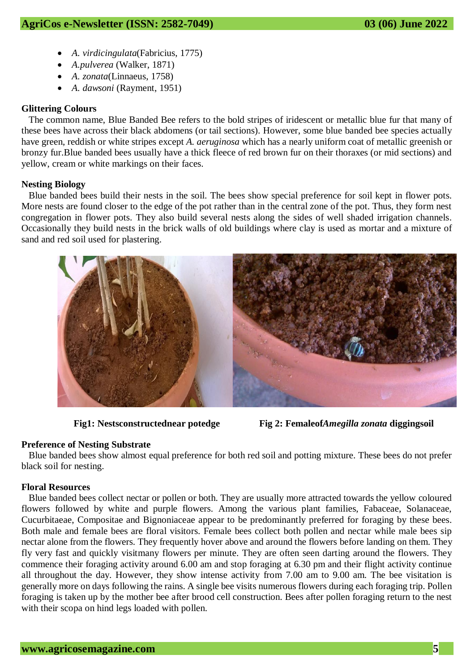- *A. virdicingulata*(Fabricius, 1775)
- *A.pulverea* (Walker, 1871)
- *A. zonata*(Linnaeus, 1758)
- *A. dawsoni* (Rayment, 1951)

### **Glittering Colours**

The common name, Blue Banded Bee refers to the bold stripes of iridescent or metallic blue fur that many of these bees have across their black abdomens (or tail sections). However, some blue banded bee species actually have green, reddish or white stripes except *A. aeruginosa* which has a nearly uniform coat of metallic greenish or bronzy fur.Blue banded bees usually have a thick fleece of red brown fur on their thoraxes (or mid sections) and yellow, cream or white markings on their faces.

#### **Nesting Biology**

Blue banded bees build their nests in the soil. The bees show special preference for soil kept in flower pots. More nests are found closer to the edge of the pot rather than in the central zone of the pot. Thus, they form nest congregation in flower pots. They also build several nests along the sides of well shaded irrigation channels. Occasionally they build nests in the brick walls of old buildings where clay is used as mortar and a mixture of sand and red soil used for plastering.





#### **Preference of Nesting Substrate**

Blue banded bees show almost equal preference for both red soil and potting mixture. These bees do not prefer black soil for nesting.

#### **Floral Resources**

Blue banded bees collect nectar or pollen or both. They are usually more attracted towards the yellow coloured flowers followed by white and purple flowers. Among the various plant families, Fabaceae, Solanaceae, Cucurbitaeae, Compositae and Bignoniaceae appear to be predominantly preferred for foraging by these bees. Both male and female bees are floral visitors. Female bees collect both pollen and nectar while male bees sip nectar alone from the flowers. They frequently hover above and around the flowers before landing on them. They fly very fast and quickly visitmany flowers per minute. They are often seen darting around the flowers. They commence their foraging activity around 6.00 am and stop foraging at 6.30 pm and their flight activity continue all throughout the day. However, they show intense activity from 7.00 am to 9.00 am. The bee visitation is generally more on days following the rains. A single bee visits numerous flowers during each foraging trip. Pollen foraging is taken up by the mother bee after brood cell construction. Bees after pollen foraging return to the nest with their scopa on hind legs loaded with pollen.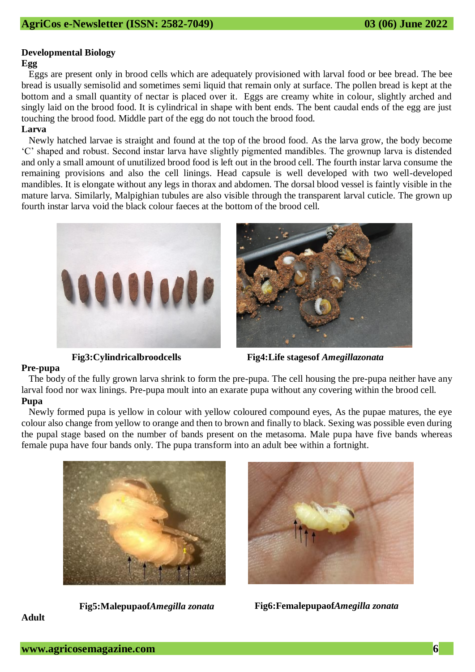# **Developmental Biology**

#### **Egg**

Eggs are present only in brood cells which are adequately provisioned with larval food or bee bread. The bee bread is usually semisolid and sometimes semi liquid that remain only at surface. The pollen bread is kept at the bottom and a small quantity of nectar is placed over it. Eggs are creamy white in colour, slightly arched and singly laid on the brood food. It is cylindrical in shape with bent ends. The bent caudal ends of the egg are just touching the brood food. Middle part of the egg do not touch the brood food.

#### **Larva**

Newly hatched larvae is straight and found at the top of the brood food. As the larva grow, the body become 'C' shaped and robust. Second instar larva have slightly pigmented mandibles. The grownup larva is distended and only a small amount of unutilized brood food is left out in the brood cell. The fourth instar larva consume the remaining provisions and also the cell linings. Head capsule is well developed with two well-developed mandibles. It is elongate without any legs in thorax and abdomen. The dorsal blood vessel is faintly visible in the mature larva. Similarly, Malpighian tubules are also visible through the transparent larval cuticle. The grown up fourth instar larva void the black colour faeces at the bottom of the brood cell.





**Fig3:Cylindricalbroodcells Fig4:Life stagesof** *Amegillazonata*

#### **Pre-pupa**

The body of the fully grown larva shrink to form the pre-pupa. The cell housing the pre-pupa neither have any larval food nor wax linings. Pre-pupa moult into an exarate pupa without any covering within the brood cell. **Pupa** 

Newly formed pupa is yellow in colour with yellow coloured compound eyes, As the pupae matures, the eye colour also change from yellow to orange and then to brown and finally to black. Sexing was possible even during the pupal stage based on the number of bands present on the metasoma. Male pupa have five bands whereas female pupa have four bands only. The pupa transform into an adult bee within a fortnight.





**Fig5:Malepupaof***Amegilla zonata* **Fig6:Femalepupaof***Amegilla zonata*

# **Adult**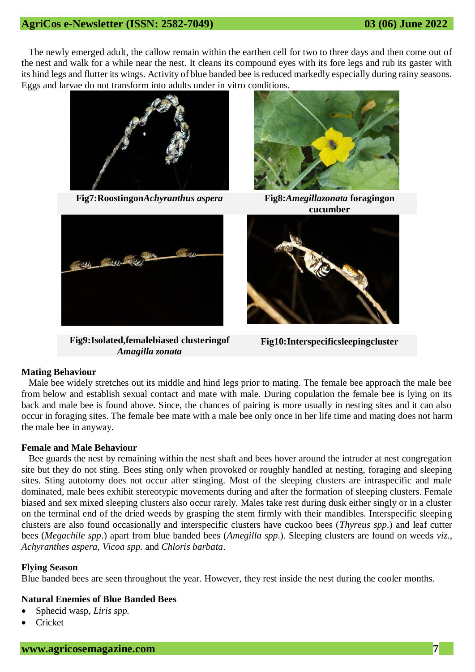The newly emerged adult, the callow remain within the earthen cell for two to three days and then come out of the nest and walk for a while near the nest. It cleans its compound eyes with its fore legs and rub its gaster with its hind legs and flutter its wings. Activity of blue banded bee is reduced markedly especially during rainy seasons. Eggs and larvae do not transform into adults under in vitro conditions.







**Fig9:Isolated,femalebiased clusteringof**  *Amagilla zonata*



**cucumber**



**Fig10:Interspecificsleepingcluster**

#### **Mating Behaviour**

Male bee widely stretches out its middle and hind legs prior to mating. The female bee approach the male bee from below and establish sexual contact and mate with male. During copulation the female bee is lying on its back and male bee is found above. Since, the chances of pairing is more usually in nesting sites and it can also occur in foraging sites. The female bee mate with a male bee only once in her life time and mating does not harm the male bee in anyway.

#### **Female and Male Behaviour**

Bee guards the nest by remaining within the nest shaft and bees hover around the intruder at nest congregation site but they do not sting. Bees sting only when provoked or roughly handled at nesting, foraging and sleeping sites. Sting autotomy does not occur after stinging. Most of the sleeping clusters are intraspecific and male dominated, male bees exhibit stereotypic movements during and after the formation of sleeping clusters. Female biased and sex mixed sleeping clusters also occur rarely. Males take rest during dusk either singly or in a cluster on the terminal end of the dried weeds by grasping the stem firmly with their mandibles. Interspecific sleeping clusters are also found occasionally and interspecific clusters have cuckoo bees (*Thyreus spp*.) and leaf cutter bees (*Megachile spp*.) apart from blue banded bees (*Amegilla spp*.). Sleeping clusters are found on weeds *viz*., *Achyranthes aspera*, *Vicoa spp.* and *Chloris barbata*.

#### **Flying Season**

Blue banded bees are seen throughout the year. However, they rest inside the nest during the cooler months.

# **Natural Enemies of Blue Banded Bees**

- Sphecid wasp, *Liris spp.*
- **Cricket**